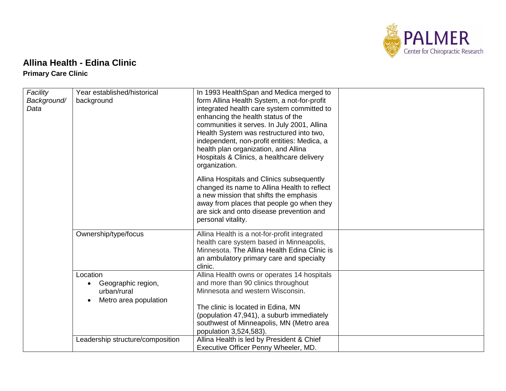

## **Allina Health - Edina Clinic Primary Care Clinic**

| Facility<br>Background/<br>Data | Year established/historical<br>background                              | In 1993 HealthSpan and Medica merged to<br>form Allina Health System, a not-for-profit<br>integrated health care system committed to<br>enhancing the health status of the<br>communities it serves. In July 2001, Allina<br>Health System was restructured into two,<br>independent, non-profit entities: Medica, a<br>health plan organization, and Allina<br>Hospitals & Clinics, a healthcare delivery<br>organization.<br>Allina Hospitals and Clinics subsequently<br>changed its name to Allina Health to reflect<br>a new mission that shifts the emphasis<br>away from places that people go when they<br>are sick and onto disease prevention and<br>personal vitality. |  |
|---------------------------------|------------------------------------------------------------------------|-----------------------------------------------------------------------------------------------------------------------------------------------------------------------------------------------------------------------------------------------------------------------------------------------------------------------------------------------------------------------------------------------------------------------------------------------------------------------------------------------------------------------------------------------------------------------------------------------------------------------------------------------------------------------------------|--|
|                                 | Ownership/type/focus                                                   | Allina Health is a not-for-profit integrated<br>health care system based in Minneapolis,<br>Minnesota, The Allina Health Edina Clinic is<br>an ambulatory primary care and specialty<br>clinic.                                                                                                                                                                                                                                                                                                                                                                                                                                                                                   |  |
|                                 | Location<br>Geographic region,<br>urban/rural<br>Metro area population | Allina Health owns or operates 14 hospitals<br>and more than 90 clinics throughout<br>Minnesota and western Wisconsin.<br>The clinic is located in Edina, MN<br>(population 47,941), a suburb immediately<br>southwest of Minneapolis, MN (Metro area                                                                                                                                                                                                                                                                                                                                                                                                                             |  |
|                                 | Leadership structure/composition                                       | population 3,524,583).<br>Allina Health is led by President & Chief<br>Executive Officer Penny Wheeler, MD.                                                                                                                                                                                                                                                                                                                                                                                                                                                                                                                                                                       |  |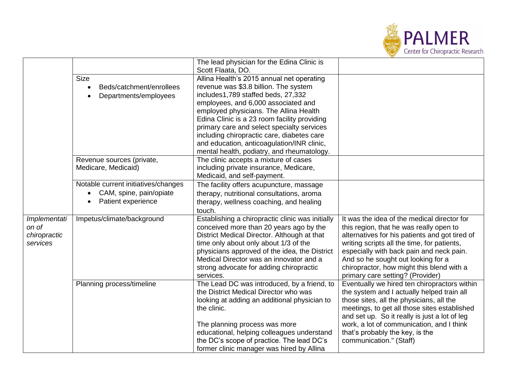

|              |                                     | The lead physician for the Edina Clinic is       |                                                |
|--------------|-------------------------------------|--------------------------------------------------|------------------------------------------------|
|              |                                     | Scott Flaata, DO.                                |                                                |
|              | <b>Size</b>                         | Allina Health's 2015 annual net operating        |                                                |
|              | Beds/catchment/enrollees            | revenue was \$3.8 billion. The system            |                                                |
|              | Departments/employees               | includes1,789 staffed beds, 27,332               |                                                |
|              |                                     | employees, and 6,000 associated and              |                                                |
|              |                                     | employed physicians. The Allina Health           |                                                |
|              |                                     | Edina Clinic is a 23 room facility providing     |                                                |
|              |                                     | primary care and select specialty services       |                                                |
|              |                                     | including chiropractic care, diabetes care       |                                                |
|              |                                     | and education, anticoagulation/INR clinic,       |                                                |
|              |                                     | mental health, podiatry, and rheumatology.       |                                                |
|              | Revenue sources (private,           | The clinic accepts a mixture of cases            |                                                |
|              | Medicare, Medicaid)                 | including private insurance, Medicare,           |                                                |
|              |                                     | Medicaid, and self-payment.                      |                                                |
|              | Notable current initiatives/changes | The facility offers acupuncture, massage         |                                                |
|              | CAM, spine, pain/opiate             | therapy, nutritional consultations, aroma        |                                                |
|              | Patient experience                  | therapy, wellness coaching, and healing          |                                                |
|              |                                     | touch.                                           |                                                |
| Implementati | Impetus/climate/background          | Establishing a chiropractic clinic was initially | It was the idea of the medical director for    |
| on of        |                                     | conceived more than 20 years ago by the          | this region, that he was really open to        |
| chiropractic |                                     | District Medical Director. Although at that      | alternatives for his patients and got tired of |
| services     |                                     | time only about only about 1/3 of the            | writing scripts all the time, for patients,    |
|              |                                     | physicians approved of the idea, the District    | especially with back pain and neck pain.       |
|              |                                     | Medical Director was an innovator and a          | And so he sought out looking for a             |
|              |                                     | strong advocate for adding chiropractic          | chiropractor, how might this blend with a      |
|              |                                     | services.                                        | primary care setting? (Provider)               |
|              | Planning process/timeline           | The Lead DC was introduced, by a friend, to      | Eventually we hired ten chiropractors within   |
|              |                                     | the District Medical Director who was            | the system and I actually helped train all     |
|              |                                     | looking at adding an additional physician to     | those sites, all the physicians, all the       |
|              |                                     | the clinic.                                      | meetings, to get all those sites established   |
|              |                                     |                                                  | and set up. So it really is just a lot of leg  |
|              |                                     | The planning process was more                    | work, a lot of communication, and I think      |
|              |                                     | educational, helping colleagues understand       | that's probably the key, is the                |
|              |                                     | the DC's scope of practice. The lead DC's        | communication." (Staff)                        |
|              |                                     | former clinic manager was hired by Allina        |                                                |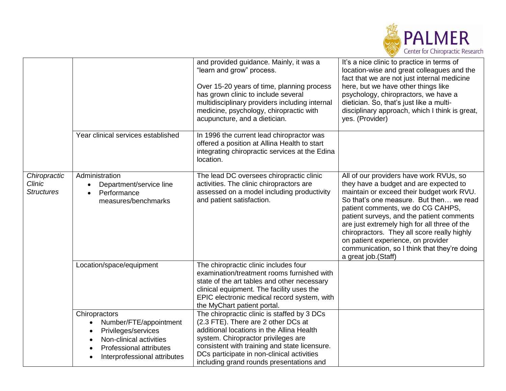

|                                                    |                                                                                                                                                      | and provided guidance. Mainly, it was a<br>"learn and grow" process.<br>Over 15-20 years of time, planning process<br>has grown clinic to include several<br>multidisciplinary providers including internal<br>medicine, psychology, chiropractic with<br>acupuncture, and a dietician.                           | It's a nice clinic to practice in terms of<br>location-wise and great colleagues and the<br>fact that we are not just internal medicine<br>here, but we have other things like<br>psychology, chiropractors, we have a<br>dietician. So, that's just like a multi-<br>disciplinary approach, which I think is great,<br>yes. (Provider)                                                                                                                                  |
|----------------------------------------------------|------------------------------------------------------------------------------------------------------------------------------------------------------|-------------------------------------------------------------------------------------------------------------------------------------------------------------------------------------------------------------------------------------------------------------------------------------------------------------------|--------------------------------------------------------------------------------------------------------------------------------------------------------------------------------------------------------------------------------------------------------------------------------------------------------------------------------------------------------------------------------------------------------------------------------------------------------------------------|
|                                                    | Year clinical services established                                                                                                                   | In 1996 the current lead chiropractor was<br>offered a position at Allina Health to start<br>integrating chiropractic services at the Edina<br>location.                                                                                                                                                          |                                                                                                                                                                                                                                                                                                                                                                                                                                                                          |
| Chiropractic<br><b>Clinic</b><br><b>Structures</b> | Administration<br>Department/service line<br>$\bullet$<br>Performance<br>measures/benchmarks                                                         | The lead DC oversees chiropractic clinic<br>activities. The clinic chiropractors are<br>assessed on a model including productivity<br>and patient satisfaction.                                                                                                                                                   | All of our providers have work RVUs, so<br>they have a budget and are expected to<br>maintain or exceed their budget work RVU.<br>So that's one measure. But then we read<br>patient comments, we do CG CAHPS,<br>patient surveys, and the patient comments<br>are just extremely high for all three of the<br>chiropractors. They all score really highly<br>on patient experience, on provider<br>communication, so I think that they're doing<br>a great job. (Staff) |
|                                                    | Location/space/equipment                                                                                                                             | The chiropractic clinic includes four<br>examination/treatment rooms furnished with<br>state of the art tables and other necessary<br>clinical equipment. The facility uses the<br>EPIC electronic medical record system, with<br>the MyChart patient portal.                                                     |                                                                                                                                                                                                                                                                                                                                                                                                                                                                          |
|                                                    | Chiropractors<br>Number/FTE/appointment<br>Privileges/services<br>Non-clinical activities<br>Professional attributes<br>Interprofessional attributes | The chiropractic clinic is staffed by 3 DCs<br>(2.3 FTE). There are 2 other DCs at<br>additional locations in the Allina Health<br>system. Chiropractor privileges are<br>consistent with training and state licensure.<br>DCs participate in non-clinical activities<br>including grand rounds presentations and |                                                                                                                                                                                                                                                                                                                                                                                                                                                                          |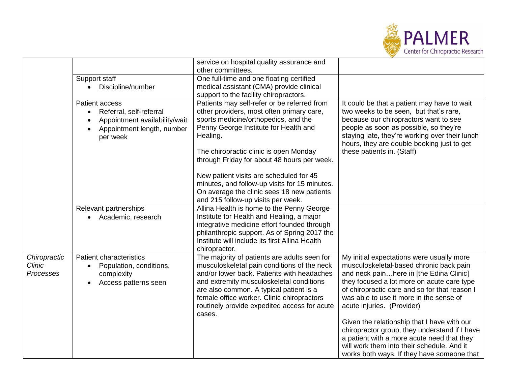

|                                                   |                                                                                                                                          | service on hospital quality assurance and                                                                                                                                                                                                                                                                                                |                                                                                                                                                                                                                                                                                                         |
|---------------------------------------------------|------------------------------------------------------------------------------------------------------------------------------------------|------------------------------------------------------------------------------------------------------------------------------------------------------------------------------------------------------------------------------------------------------------------------------------------------------------------------------------------|---------------------------------------------------------------------------------------------------------------------------------------------------------------------------------------------------------------------------------------------------------------------------------------------------------|
|                                                   |                                                                                                                                          | other committees.                                                                                                                                                                                                                                                                                                                        |                                                                                                                                                                                                                                                                                                         |
|                                                   | Support staff                                                                                                                            | One full-time and one floating certified                                                                                                                                                                                                                                                                                                 |                                                                                                                                                                                                                                                                                                         |
|                                                   | Discipline/number                                                                                                                        | medical assistant (CMA) provide clinical                                                                                                                                                                                                                                                                                                 |                                                                                                                                                                                                                                                                                                         |
|                                                   |                                                                                                                                          | support to the facility chiropractors.                                                                                                                                                                                                                                                                                                   |                                                                                                                                                                                                                                                                                                         |
|                                                   | <b>Patient access</b><br>Referral, self-referral<br>$\bullet$<br>Appointment availability/wait<br>Appointment length, number<br>per week | Patients may self-refer or be referred from<br>other providers, most often primary care,<br>sports medicine/orthopedics, and the<br>Penny George Institute for Health and<br>Healing.<br>The chiropractic clinic is open Monday                                                                                                          | It could be that a patient may have to wait<br>two weeks to be seen, but that's rare,<br>because our chiropractors want to see<br>people as soon as possible, so they're<br>staying late, they're working over their lunch<br>hours, they are double booking just to get<br>these patients in. (Staff)  |
|                                                   |                                                                                                                                          | through Friday for about 48 hours per week.                                                                                                                                                                                                                                                                                              |                                                                                                                                                                                                                                                                                                         |
|                                                   |                                                                                                                                          | New patient visits are scheduled for 45<br>minutes, and follow-up visits for 15 minutes.<br>On average the clinic sees 18 new patients<br>and 215 follow-up visits per week.                                                                                                                                                             |                                                                                                                                                                                                                                                                                                         |
|                                                   | Relevant partnerships                                                                                                                    | Allina Health is home to the Penny George                                                                                                                                                                                                                                                                                                |                                                                                                                                                                                                                                                                                                         |
|                                                   | Academic, research                                                                                                                       | Institute for Health and Healing, a major<br>integrative medicine effort founded through<br>philanthropic support. As of Spring 2017 the<br>Institute will include its first Allina Health<br>chiropractor.                                                                                                                              |                                                                                                                                                                                                                                                                                                         |
| Chiropractic<br><b>Clinic</b><br><b>Processes</b> | <b>Patient characteristics</b><br>Population, conditions,<br>$\bullet$<br>complexity<br>Access patterns seen                             | The majority of patients are adults seen for<br>musculoskeletal pain conditions of the neck<br>and/or lower back. Patients with headaches<br>and extremity musculoskeletal conditions<br>are also common. A typical patient is a<br>female office worker. Clinic chiropractors<br>routinely provide expedited access for acute<br>cases. | My initial expectations were usually more<br>musculoskeletal-based chronic back pain<br>and neck painhere in [the Edina Clinic]<br>they focused a lot more on acute care type<br>of chiropractic care and so for that reason I<br>was able to use it more in the sense of<br>acute injuries. (Provider) |
|                                                   |                                                                                                                                          |                                                                                                                                                                                                                                                                                                                                          | Given the relationship that I have with our<br>chiropractor group, they understand if I have<br>a patient with a more acute need that they<br>will work them into their schedule. And it<br>works both ways. If they have someone that                                                                  |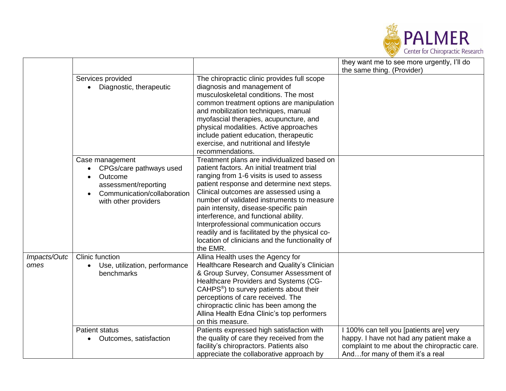

|                      |                                                                                                                                      |                                                                                                                                                                                                                                                                                                                                                                                                                                                                                                                                                | they want me to see more urgently, I'll do                                                                                                                             |
|----------------------|--------------------------------------------------------------------------------------------------------------------------------------|------------------------------------------------------------------------------------------------------------------------------------------------------------------------------------------------------------------------------------------------------------------------------------------------------------------------------------------------------------------------------------------------------------------------------------------------------------------------------------------------------------------------------------------------|------------------------------------------------------------------------------------------------------------------------------------------------------------------------|
|                      |                                                                                                                                      |                                                                                                                                                                                                                                                                                                                                                                                                                                                                                                                                                | the same thing. (Provider)                                                                                                                                             |
|                      | Services provided<br>Diagnostic, therapeutic                                                                                         | The chiropractic clinic provides full scope<br>diagnosis and management of<br>musculoskeletal conditions. The most<br>common treatment options are manipulation<br>and mobilization techniques, manual<br>myofascial therapies, acupuncture, and<br>physical modalities. Active approaches<br>include patient education, therapeutic<br>exercise, and nutritional and lifestyle                                                                                                                                                                |                                                                                                                                                                        |
|                      | Case management<br>CPGs/care pathways used<br>Outcome<br>assessment/reporting<br>Communication/collaboration<br>with other providers | recommendations.<br>Treatment plans are individualized based on<br>patient factors. An initial treatment trial<br>ranging from 1-6 visits is used to assess<br>patient response and determine next steps.<br>Clinical outcomes are assessed using a<br>number of validated instruments to measure<br>pain intensity, disease-specific pain<br>interference, and functional ability.<br>Interprofessional communication occurs<br>readily and is facilitated by the physical co-<br>location of clinicians and the functionality of<br>the EMR. |                                                                                                                                                                        |
| Impacts/Outc<br>omes | <b>Clinic function</b><br>Use, utilization, performance<br>benchmarks                                                                | Allina Health uses the Agency for<br>Healthcare Research and Quality's Clinician<br>& Group Survey, Consumer Assessment of<br>Healthcare Providers and Systems (CG-<br>CAHPS <sup>®</sup> ) to survey patients about their<br>perceptions of care received. The<br>chiropractic clinic has been among the<br>Allina Health Edna Clinic's top performers<br>on this measure.                                                                                                                                                                    |                                                                                                                                                                        |
|                      | <b>Patient status</b><br>Outcomes, satisfaction                                                                                      | Patients expressed high satisfaction with<br>the quality of care they received from the<br>facility's chiropractors. Patients also<br>appreciate the collaborative approach by                                                                                                                                                                                                                                                                                                                                                                 | I 100% can tell you [patients are] very<br>happy. I have not had any patient make a<br>complaint to me about the chiropractic care.<br>Andfor many of them it's a real |